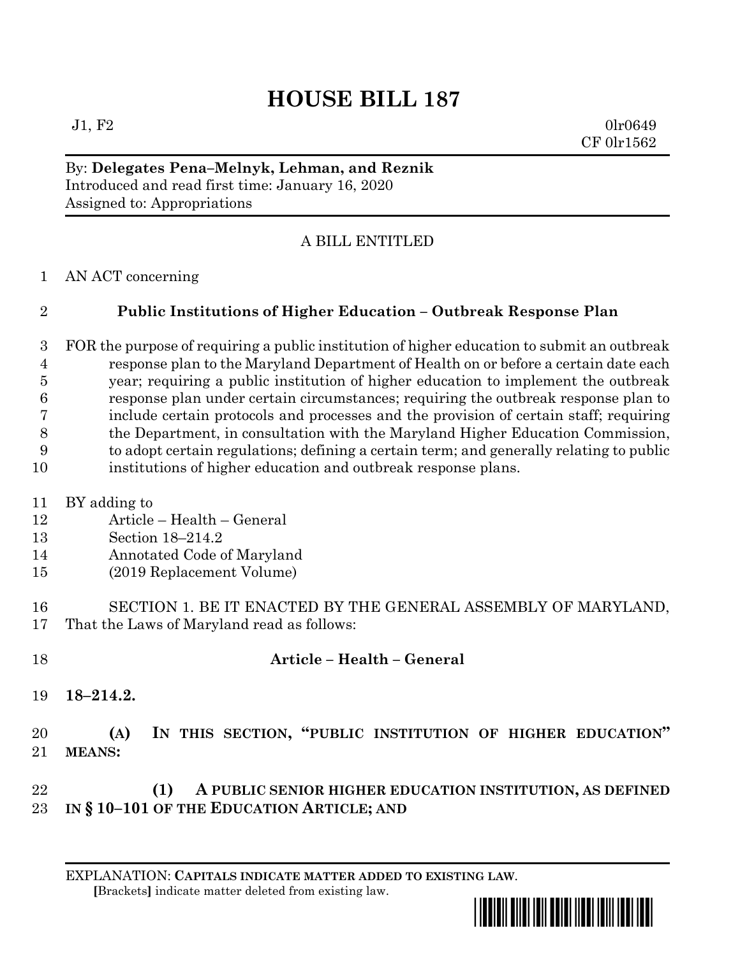# **HOUSE BILL 187**

 $J1, F2$  0lr0649 CF 0lr1562

#### By: **Delegates Pena–Melnyk, Lehman, and Reznik** Introduced and read first time: January 16, 2020 Assigned to: Appropriations

## A BILL ENTITLED

AN ACT concerning

## **Public Institutions of Higher Education – Outbreak Response Plan**

 FOR the purpose of requiring a public institution of higher education to submit an outbreak response plan to the Maryland Department of Health on or before a certain date each year; requiring a public institution of higher education to implement the outbreak response plan under certain circumstances; requiring the outbreak response plan to include certain protocols and processes and the provision of certain staff; requiring the Department, in consultation with the Maryland Higher Education Commission, to adopt certain regulations; defining a certain term; and generally relating to public institutions of higher education and outbreak response plans.

- BY adding to
- Article Health General
- Section 18–214.2
- Annotated Code of Maryland
- (2019 Replacement Volume)
- SECTION 1. BE IT ENACTED BY THE GENERAL ASSEMBLY OF MARYLAND, That the Laws of Maryland read as follows:
- 

#### **Article – Health – General**

**18–214.2.**

## **(A) IN THIS SECTION, "PUBLIC INSTITUTION OF HIGHER EDUCATION" MEANS:**

#### **(1) A PUBLIC SENIOR HIGHER EDUCATION INSTITUTION, AS DEFINED IN § 10–101 OF THE EDUCATION ARTICLE; AND**

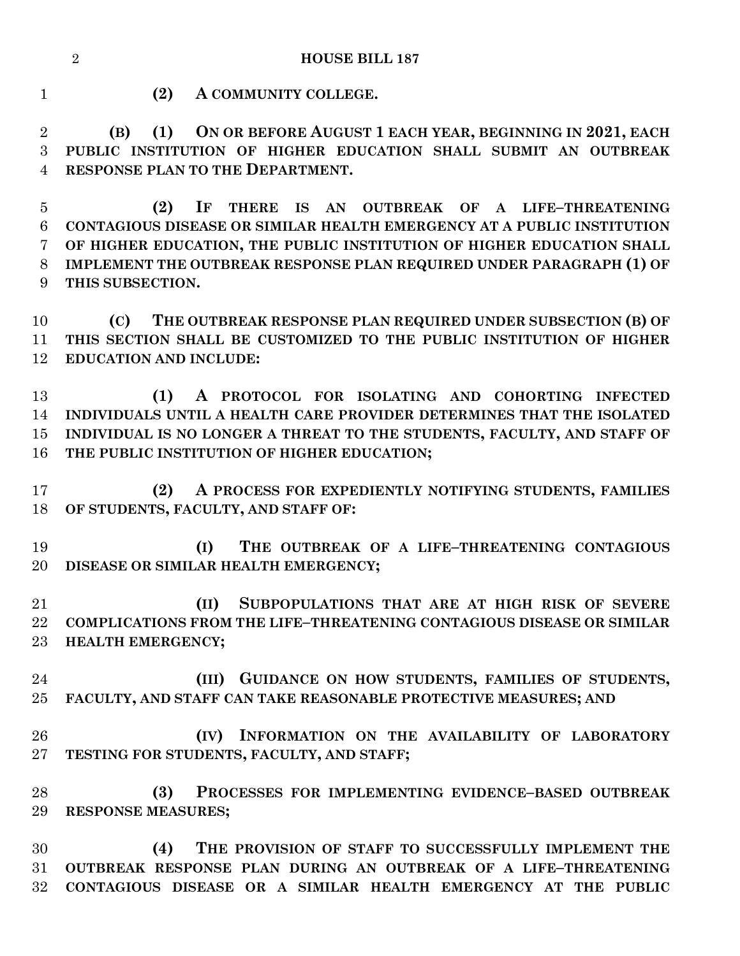**HOUSE BILL 187**

**(2) A COMMUNITY COLLEGE.**

 **(B) (1) ON OR BEFORE AUGUST 1 EACH YEAR, BEGINNING IN 2021, EACH PUBLIC INSTITUTION OF HIGHER EDUCATION SHALL SUBMIT AN OUTBREAK RESPONSE PLAN TO THE DEPARTMENT.**

 **(2) IF THERE IS AN OUTBREAK OF A LIFE–THREATENING CONTAGIOUS DISEASE OR SIMILAR HEALTH EMERGENCY AT A PUBLIC INSTITUTION OF HIGHER EDUCATION, THE PUBLIC INSTITUTION OF HIGHER EDUCATION SHALL IMPLEMENT THE OUTBREAK RESPONSE PLAN REQUIRED UNDER PARAGRAPH (1) OF THIS SUBSECTION.**

 **(C) THE OUTBREAK RESPONSE PLAN REQUIRED UNDER SUBSECTION (B) OF THIS SECTION SHALL BE CUSTOMIZED TO THE PUBLIC INSTITUTION OF HIGHER EDUCATION AND INCLUDE:**

 **(1) A PROTOCOL FOR ISOLATING AND COHORTING INFECTED INDIVIDUALS UNTIL A HEALTH CARE PROVIDER DETERMINES THAT THE ISOLATED INDIVIDUAL IS NO LONGER A THREAT TO THE STUDENTS, FACULTY, AND STAFF OF THE PUBLIC INSTITUTION OF HIGHER EDUCATION;**

 **(2) A PROCESS FOR EXPEDIENTLY NOTIFYING STUDENTS, FAMILIES OF STUDENTS, FACULTY, AND STAFF OF:**

 **(I) THE OUTBREAK OF A LIFE–THREATENING CONTAGIOUS DISEASE OR SIMILAR HEALTH EMERGENCY;**

 **(II) SUBPOPULATIONS THAT ARE AT HIGH RISK OF SEVERE COMPLICATIONS FROM THE LIFE–THREATENING CONTAGIOUS DISEASE OR SIMILAR HEALTH EMERGENCY;**

 **(III) GUIDANCE ON HOW STUDENTS, FAMILIES OF STUDENTS, FACULTY, AND STAFF CAN TAKE REASONABLE PROTECTIVE MEASURES; AND**

 **(IV) INFORMATION ON THE AVAILABILITY OF LABORATORY TESTING FOR STUDENTS, FACULTY, AND STAFF;**

 **(3) PROCESSES FOR IMPLEMENTING EVIDENCE–BASED OUTBREAK RESPONSE MEASURES;**

 **(4) THE PROVISION OF STAFF TO SUCCESSFULLY IMPLEMENT THE OUTBREAK RESPONSE PLAN DURING AN OUTBREAK OF A LIFE–THREATENING CONTAGIOUS DISEASE OR A SIMILAR HEALTH EMERGENCY AT THE PUBLIC**